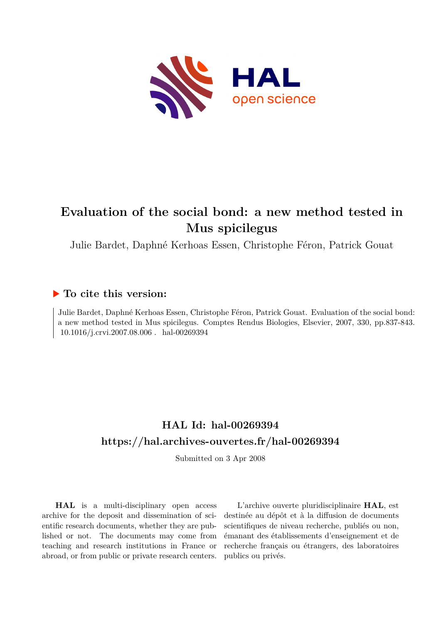

# **Evaluation of the social bond: a new method tested in Mus spicilegus**

Julie Bardet, Daphné Kerhoas Essen, Christophe Féron, Patrick Gouat

### **To cite this version:**

Julie Bardet, Daphné Kerhoas Essen, Christophe Féron, Patrick Gouat. Evaluation of the social bond: a new method tested in Mus spicilegus. Comptes Rendus Biologies, Elsevier, 2007, 330, pp.837-843. 10.1016/j.crvi.2007.08.006. hal-00269394

## **HAL Id: hal-00269394 <https://hal.archives-ouvertes.fr/hal-00269394>**

Submitted on 3 Apr 2008

**HAL** is a multi-disciplinary open access archive for the deposit and dissemination of scientific research documents, whether they are published or not. The documents may come from teaching and research institutions in France or abroad, or from public or private research centers.

L'archive ouverte pluridisciplinaire **HAL**, est destinée au dépôt et à la diffusion de documents scientifiques de niveau recherche, publiés ou non, émanant des établissements d'enseignement et de recherche français ou étrangers, des laboratoires publics ou privés.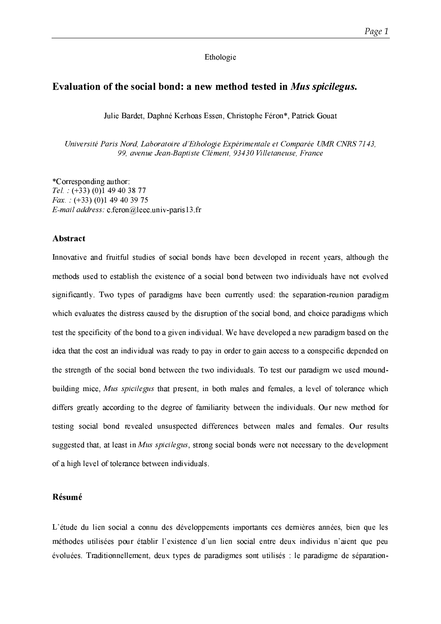#### Ethologie

### Evaluation of the social bond: a new method tested in Mus spicilegus.

Julie Bardet, Daphné Kerhoas Essen, Christophe Féron\*, Patrick Gouat

Université Paris Nord, Laboratoire d'Ethologie Expérimentale et Comparée UMR CNRS 7143, 99, avenue Jean-Baptiste Clément, 93430 Villetaneuse, France

\*Corresponding author: Tel.:  $(+33)$  (0)1 49 40 38 77 *Fax.*:  $(+33)$  (0)1 49 40 39 75 E-mail address: c feron@leec.univ-paris13.fr

#### Abstract

Innovative and fruitful studies of social bonds have been developed in recent vears, although the methods used to establish the existence of a social bond between two individuals have not evolved significantly. Two types of paradigms have been currently used: the separation-reunion paradigm which evaluates the distress caused by the disruption of the social bond, and choice paradigms which test the specificity of the bond to a given individual. We have developed a new paradigm based on the idea that the cost an individual was ready to pay in order to gain access to a conspecific depended on the strength of the social bond between the two individuals. To test our paradigm we used moundbuilding mice, Mus spicilegus that present, in both males and females, a level of tolerance which differs greatly according to the degree of familiarity between the individuals. Our new method for testing social bond revealed unsuspected differences between males and females. Our results suggested that, at least in *Mus spicilegus*, strong social bonds were not necessary to the development of a high level of tolerance between individuals.

#### Résumé

L'étude du lien social a connu des développements importants ces dernières années, bien que les méthodes utilisées pour établir l'existence d'un lien social entre deux individus n'aient que peu évoluées. Traditionnellement, deux types de paradigmes sont utilisés : le paradigme de séparation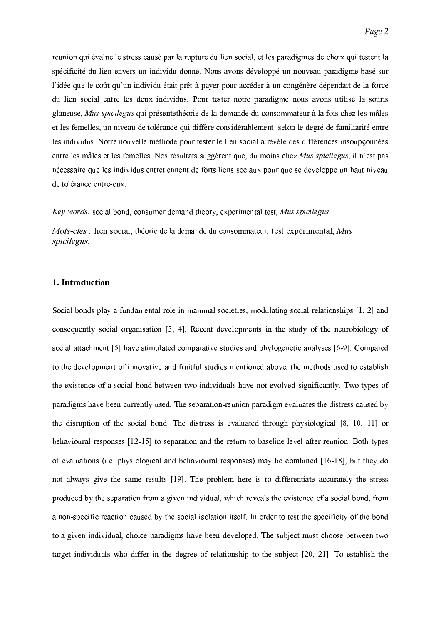réunion qui évalue le stress causé par la rupture du lien social, et les paradigmes de choix qui testent la spécificité du lien envers un individu donné. Nous avons développé un nouveau paradigme basé sur l'idée que le coût qu'un individu était prêt à payer pour accéder à un congénère dépendait de la force du lien social entre les deux individus. Pour tester notre paradigme nous avons utilisé la souris glaneuse, Mus spicilegus qui présente théorie de la demande du consommateur à la fois chez les mâles et les femelles, un niveau de tolérance qui diffère considérablement selon le degré de familiarité entre les individus. Notre nouvelle méthode pour tester le lien social a révélé des différences insoupçonnées entre les mâles et les femelles. Nos résultats suggèrent que, du moins chez Mus spicilegus, il n'est pas nécessaire que les individus entretiennent de forts liens sociaux pour que se développe un haut niveau de tolérance entre-eux.

Key-words: social bond, consumer demand theory, experimental test, Mus spicilegus.

Mots-clés : lien social, théorie de la demande du consommateur, test expérimental, Mus spicilegus.

#### 1. Introduction

Social bonds play a fundamental role in mammal societies, modulating social relationships [1, 2] and consequently social organisation [3, 4]. Recent developments in the study of the neurobiology of social attachment [5] have stimulated comparative studies and phylogenetic analyses [6-9]. Compared to the development of innovative and fruitful studies mentioned above, the methods used to establish the existence of a social bond between two individuals have not evolved significantly. Two types of paradigms have been currently used. The separation-reunion paradigm evaluates the distress caused by the disruption of the social bond. The distress is evaluated through physiological  $[8, 10, 11]$  or behavioural responses [12-15] to separation and the return to baseline level after reunion. Both types of evaluations (i.e. physiological and behavioural responses) may be combined [16-18], but they do not always give the same results [19]. The problem here is to differentiate accurately the stress produced by the separation from a given individual, which reveals the existence of a social bond, from a non-specific reaction caused by the social isolation itself. In order to test the specificity of the bond to a given individual, choice paradigms have been developed. The subject must choose between two target individuals who differ in the degree of relationship to the subject [20, 21]. To establish the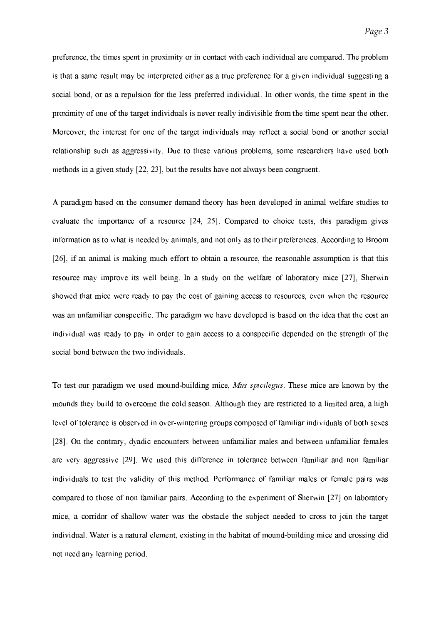preference, the times spent in proximity or in contact with each individual are compared. The problem is that a same result may be interpreted either as a true preference for a given individual suggesting a social bond, or as a repulsion for the less preferred individual. In other words, the time spent in the proximity of one of the target individuals is never really indivisible from the time spent near the other. Moreover, the interest for one of the target individuals may reflect a social bond or another social relationship such as aggressivity. Due to these various problems, some researchers have used both methods in a given study [22, 23], but the results have not always been congruent.

A paradigm based on the consumer demand theory has been developed in animal welfare studies to evaluate the importance of a resource [24, 25]. Compared to choice tests, this paradigm gives information as to what is needed by animals, and not only as to their preferences. According to Broom [26], if an animal is making much effort to obtain a resource, the reasonable assumption is that this resource may improve its well being. In a study on the welfare of laboratory mice [27], Sherwin showed that mice were ready to pay the cost of gaining access to resources, even when the resource was an unfamiliar conspecific. The paradigm we have developed is based on the idea that the cost an individual was ready to pay in order to gain access to a conspecific depended on the strength of the social bond between the two individuals.

To test our paradigm we used mound-building mice, Mus spicilegus. These mice are known by the mounds they build to overcome the cold season. Although they are restricted to a limited area, a high level of tolerance is observed in over-wintering groups composed of familiar individuals of both sexes [28]. On the contrary, dyadic encounters between unfamiliar males and between unfamiliar females are very aggressive [29]. We used this difference in tolerance between familiar and non familiar individuals to test the validity of this method. Performance of familiar males or female pairs was compared to those of non familiar pairs. According to the experiment of Sherwin [27] on laboratory mice, a corridor of shallow water was the obstacle the subject needed to cross to join the target individual. Water is a natural element, existing in the habitat of mound-building mice and crossing did not need any learning period.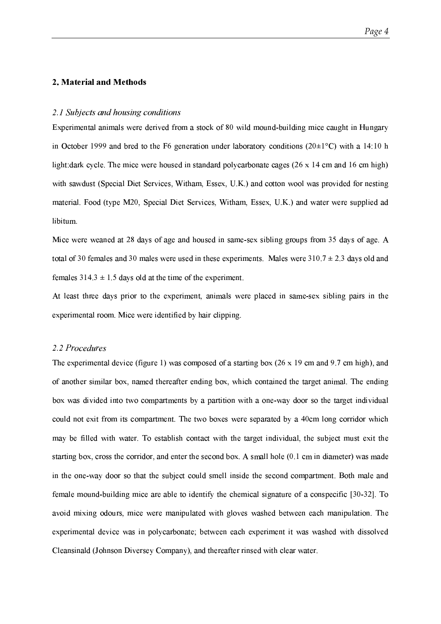#### 2. Material and Methods

#### 2.1 Subjects and housing conditions

Experimental animals were derived from a stock of 80 wild mound-building mice caught in Hungary in October 1999 and bred to the F6 generation under laboratory conditions ( $20\pm1\text{°C}$ ) with a 14:10 h light: dark cycle. The mice were housed in standard polycarbonate cages (26 x 14 cm and 16 cm high) with sawdust (Special Diet Services, Witham, Essex, U.K.) and cotton wool was provided for nesting material. Food (type M20, Special Diet Services, Witham, Essex, U.K.) and water were supplied ad libitum.

Mice were weaned at 28 days of age and housed in same-sex sibling groups from 35 days of age. A total of 30 females and 30 males were used in these experiments. Males were  $310.7 \pm 2.3$  days old and females  $314.3 \pm 1.5$  days old at the time of the experiment.

At least three days prior to the experiment, animals were placed in same-sex sibling pairs in the experimental room. Mice were identified by hair clipping.

#### 2.2 Procedures

The experimental device (figure 1) was composed of a starting box  $(26 \times 19 \text{ cm and } 9.7 \text{ cm high})$ , and of another similar box, named thereafter ending box, which contained the target animal. The ending box was divided into two compartments by a partition with a one-way door so the target individual could not exit from its compartment. The two boxes were separated by a 40cm long corridor which may be filled with water. To establish contact with the target individual, the subject must exit the starting box, cross the corridor, and enter the second box. A small hole (0.1 cm in diameter) was made in the one-way door so that the subject could smell inside the second compartment. Both male and female mound-building mice are able to identify the chemical signature of a conspecific [30-32]. To avoid mixing odours, mice were manipulated with gloves washed between each manipulation. The experimental device was in polycarbonate; between each experiment it was washed with dissolved Cleansinald (Johnson Diversey Company), and thereafter rinsed with clear water.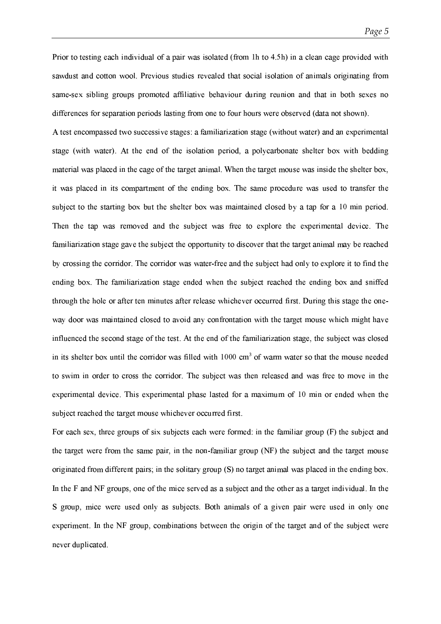Prior to testing each individual of a pair was isolated (from 1h to 4.5h) in a clean cage provided with sawdust and cotton wool. Previous studies revealed that social isolation of animals originating from same-sex sibling groups promoted affiliative behaviour during reunion and that in both sexes no differences for separation periods lasting from one to four hours were observed (data not shown).

A test encompassed two successive stages: a familiarization stage (without water) and an experimental stage (with water). At the end of the isolation period, a polycarbonate shelter box with bedding material was placed in the cage of the target animal. When the target mouse was inside the shelter box, it was placed in its compartment of the ending box. The same procedure was used to transfer the subject to the starting box but the shelter box was maintained closed by a tap for a 10 min period. Then the tap was removed and the subject was free to explore the experimental device. The familiarization stage gave the subject the opportunity to discover that the target animal may be reached by crossing the corridor. The corridor was water-free and the subject had only to explore it to find the ending box. The familiarization stage ended when the subject reached the ending box and sniffed through the hole or after ten minutes after release whichever occurred first. During this stage the oneway door was maintained closed to avoid any confrontation with the target mouse which might have influenced the second stage of the test. At the end of the familiarization stage, the subject was closed in its shelter box until the corridor was filled with 1000 cm<sup>3</sup> of warm water so that the mouse needed to swim in order to cross the corridor. The subject was then released and was free to move in the experimental device. This experimental phase lasted for a maximum of 10 min or ended when the subject reached the target mouse whichever occurred first.

For each sex, three groups of six subjects each were formed: in the familiar group (F) the subject and the target were from the same pair, in the non-familiar group (NF) the subject and the target mouse originated from different pairs; in the solitary group (S) no target animal was placed in the ending box. In the F and NF groups, one of the mice served as a subject and the other as a target individual. In the S group, mice were used only as subjects. Both animals of a given pair were used in only one experiment. In the NF group, combinations between the origin of the target and of the subject were never duplicated.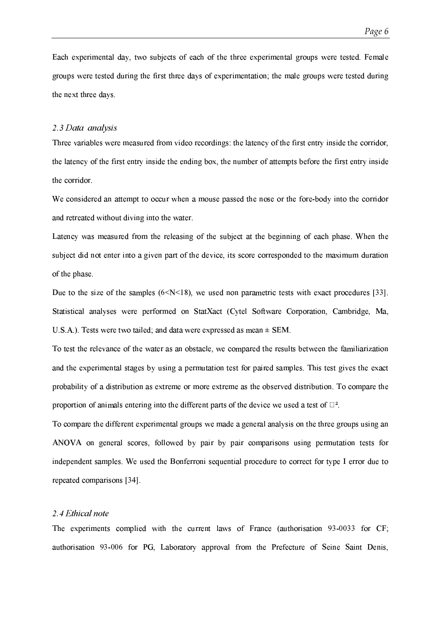Each experimental day, two subjects of each of the three experimental groups were tested. Female groups were tested during the first three days of experimentation; the male groups were tested during the next three days.

#### 2.3 Data analysis

Three variables were measured from video recordings: the latency of the first entry inside the corridor, the latency of the first entry inside the ending box, the number of attempts before the first entry inside the corridor.

We considered an attempt to occur when a mouse passed the nose or the fore-body into the corridor and retreated without diving into the water.

Latency was measured from the releasing of the subject at the beginning of each phase. When the subject did not enter into a given part of the device, its score corresponded to the maximum duration of the phase.

Due to the size of the samples  $(6< N < 18)$ , we used non parametric tests with exact procedures [33]. Statistical analyses were performed on StatXact (Cytel Software Corporation, Cambridge, Ma, U.S.A.). Tests were two tailed; and data were expressed as mean  $\pm$  SEM.

To test the relevance of the water as an obstacle, we compared the results between the familiarization and the experimental stages by using a permutation test for paired samples. This test gives the exact probability of a distribution as extreme or more extreme as the observed distribution. To compare the proportion of animals entering into the different parts of the device we used a test of  $\Box^2$ .

To compare the different experimental groups we made a general analysis on the three groups using an ANOVA on general scores, followed by pair by pair comparisons using permutation tests for independent samples. We used the Bonferroni sequential procedure to correct for type I error due to repeated comparisons [34].

#### 2.4 Ethical note

The experiments complied with the current laws of France (authorisation 93-0033 for CF; authorisation 93-006 for PG, Laboratory approval from the Prefecture of Seine Saint Denis,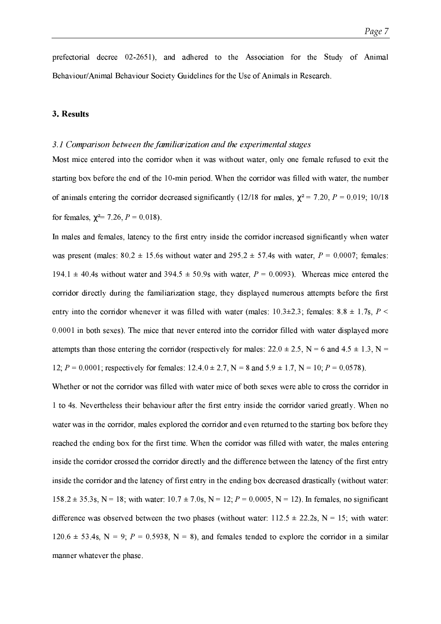prefectorial decree 02-2651), and adhered to the Association for the Study of Animal Behaviour/Animal Behaviour Society Guidelines for the Use of Animals in Research.

#### 3. Results

#### 3.1 Comparison between the familiarization and the experimental stages

Most mice entered into the corridor when it was without water, only one female refused to exit the starting box before the end of the 10-min period. When the corridor was filled with water, the number of animals entering the corridor decreased significantly (12/18 for males,  $\chi^2 = 7.20$ ,  $P = 0.019$ ; 10/18 for females,  $\chi^2$  = 7.26,  $P = 0.018$ ).

In males and females, latency to the first entry inside the corridor increased significantly when water was present (males:  $80.2 \pm 15.6$ s without water and  $295.2 \pm 57.4$ s with water,  $P = 0.0007$ ; females: 194.1 ± 40.4s without water and 394.5 ± 50.9s with water,  $P = 0.0093$ ). Whereas mice entered the corridor directly during the familiarization stage, they displayed numerous attempts before the first entry into the corridor whenever it was filled with water (males:  $10.3\pm 2.3$ ; females:  $8.8 \pm 1.7$ s,  $P \le$ 0.0001 in both sexes). The mice that never entered into the corridor filled with water displayed more attempts than those entering the corridor (respectively for males:  $22.0 \pm 2.5$ , N = 6 and  $4.5 \pm 1.3$ , N = 12;  $P = 0.0001$ ; respectively for females: 12.4.0 ± 2.7, N = 8 and 5.9 ± 1.7, N = 10;  $P = 0.0578$ ).

Whether or not the corridor was filled with water mice of both sexes were able to cross the corridor in 1 to 4s. Nevertheless their behaviour after the first entry inside the corridor varied greatly. When no water was in the corridor, males explored the corridor and even returned to the starting box before they reached the ending box for the first time. When the corridor was filled with water, the males entering inside the corridor crossed the corridor directly and the difference between the latency of the first entry inside the corridor and the latency of first entry in the ending box decreased drastically (without water)  $158.2 \pm 35.3$ s, N = 18; with water:  $10.7 \pm 7.0$ s, N = 12; P = 0.0005, N = 12). In females, no significant difference was observed between the two phases (without water:  $112.5 \pm 22.2$ s, N = 15; with water:  $120.6 \pm 53.4$ s, N = 9; P = 0.5938, N = 8), and females tended to explore the corridor in a similar manner whatever the phase.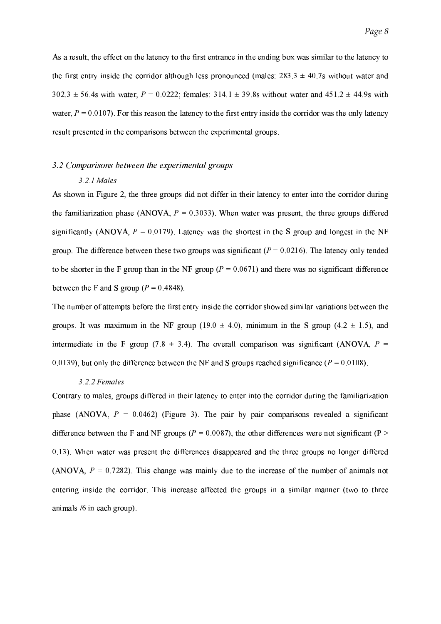As a result, the effect on the latency to the first entrance in the ending box was similar to the latency to the first entry inside the corridor although less pronounced (males:  $283.3 \pm 40.7$ s without water and  $302.3 \pm 56.4$  s with water,  $P = 0.0222$ ; females: 314.1  $\pm$  39.8s without water and 451.2  $\pm$  44.9s with water,  $P = 0.0107$ ). For this reason the latency to the first entry inside the corridor was the only latency result presented in the comparisons between the experimental groups.

#### 3.2 Comparisons between the experimental groups

#### 3.2.1 Males

As shown in Figure 2, the three groups did not differ in their latency to enter into the corridor during the familiarization phase (ANOVA,  $P = 0.3033$ ). When water was present, the three groups differed significantly (ANOVA,  $P = 0.0179$ ). Latency was the shortest in the S group and longest in the NF group. The difference between these two groups was significant ( $P = 0.0216$ ). The latency only tended to be shorter in the F group than in the NF group ( $P = 0.0671$ ) and there was no significant difference between the F and S group ( $P = 0.4848$ ).

The number of attempts before the first entry inside the corridor showed similar variations between the groups. It was maximum in the NF group (19.0  $\pm$  4.0), minimum in the S group (4.2  $\pm$  1.5), and intermediate in the F group (7.8  $\pm$  3.4). The overall comparison was significant (ANOVA, P = 0.0139), but only the difference between the NF and S groups reached significance ( $P = 0.0108$ ).

#### 3.2.2 Females

Contrary to males, groups differed in their latency to enter into the corridor during the familiarization phase (ANOVA,  $P = 0.0462$ ) (Figure 3). The pair by pair comparisons revealed a significant difference between the F and NF groups ( $P = 0.0087$ ), the other differences were not significant (P > 0.13). When water was present the differences disappeared and the three groups no longer differed (ANOVA,  $P = 0.7282$ ). This change was mainly due to the increase of the number of animals not entering inside the corridor. This increase affected the groups in a similar manner (two to three animals /6 in each group).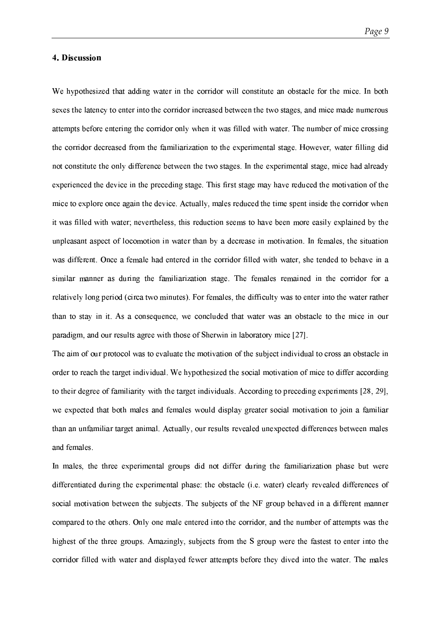#### 4. Discussion

We hypothesized that adding water in the corridor will constitute an obstacle for the mice. In both sexes the latency to enter into the corridor increased between the two stages, and mice made numerous attempts before entering the corridor only when it was filled with water. The number of mice crossing the corridor decreased from the familiarization to the experimental stage. However, water filling did not constitute the only difference between the two stages. In the experimental stage, mice had already experienced the device in the preceding stage. This first stage may have reduced the motivation of the mice to explore once again the device. Actually, males reduced the time spent inside the corridor when it was filled with water; nevertheless, this reduction seems to have been more easily explained by the unpleasant aspect of locomotion in water than by a decrease in motivation. In females, the situation was different. Once a female had entered in the corridor filled with water, she tended to behave in a similar manner as during the familiarization stage. The females remained in the corridor for a relatively long period (circa two minutes). For females, the difficulty was to enter into the water rather than to stay in it. As a consequence, we concluded that water was an obstacle to the mice in our paradigm, and our results agree with those of Sherwin in laboratory mice [27].

The aim of our protocol was to evaluate the motivation of the subject individual to cross an obstacle in order to reach the target individual. We hypothesized the social motivation of mice to differ according to their degree of familiarity with the target individuals. According to preceding experiments [28, 29], we expected that both males and females would display greater social motivation to join a familiar than an unfamiliar target animal. Actually, our results revealed unexpected differences between males and females.

In males, the three experimental groups did not differ during the familiarization phase but were differentiated during the experimental phase: the obstacle (i.e. water) clearly revealed differences of social motivation between the subjects. The subjects of the NF group behaved in a different manner compared to the others. Only one male entered into the corridor, and the number of attempts was the highest of the three groups. Amazingly, subjects from the S group were the fastest to enter into the corridor filled with water and displayed fewer attempts before they dived into the water. The males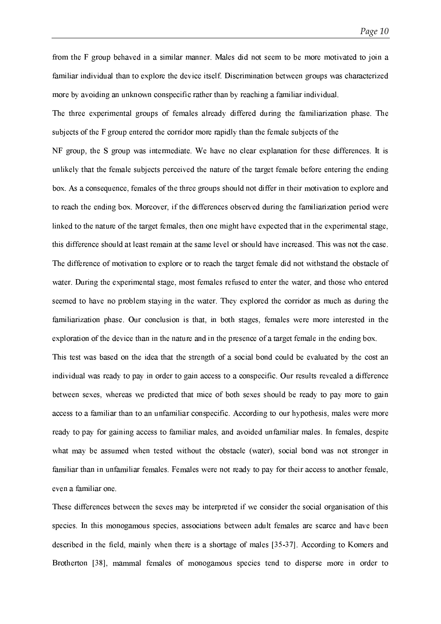from the F group behaved in a similar manner. Males did not seem to be more motivated to join a familiar individual than to explore the device itself. Discrimination between groups was characterized more by avoiding an unknown conspecific rather than by reaching a familiar individual.

The three experimental groups of females already differed during the familiarization phase. The subjects of the F group entered the corridor more rapidly than the female subjects of the

NF group, the S group was intermediate. We have no clear explanation for these differences. It is unlikely that the female subjects perceived the nature of the target female before entering the ending box. As a consequence, females of the three groups should not differ in their motivation to explore and to reach the ending box. Moreover, if the differences observed during the familiarization period were linked to the nature of the target females, then one might have expected that in the experimental stage, this difference should at least remain at the same level or should have increased. This was not the case. The difference of motivation to explore or to reach the target female did not withstand the obstacle of water. During the experimental stage, most females refused to enter the water, and those who entered seemed to have no problem staying in the water. They explored the corridor as much as during the familiarization phase. Our conclusion is that, in both stages, females were more interested in the exploration of the device than in the nature and in the presence of a target female in the ending box. This test was based on the idea that the strength of a social bond could be evaluated by the cost an individual was ready to pay in order to gain access to a conspecific. Our results revealed a difference between sexes, whereas we predicted that mice of both sexes should be ready to pay more to gain

These differences between the sexes may be interpreted if we consider the social organisation of this species. In this monogamous species, associations between adult females are scarce and have been described in the field, mainly when there is a shortage of males [35-37]. According to Komers and Brotherton [38], mammal females of monogamous species tend to disperse more in order to

access to a familiar than to an unfamiliar conspecific. According to our hypothesis, males were more

ready to pay for gaining access to familiar males, and avoided unfamiliar males. In females, despite

what may be assumed when tested without the obstacle (water), social bond was not stronger in

familiar than in unfamiliar females. Females were not ready to pay for their access to another female.

even a familiar one.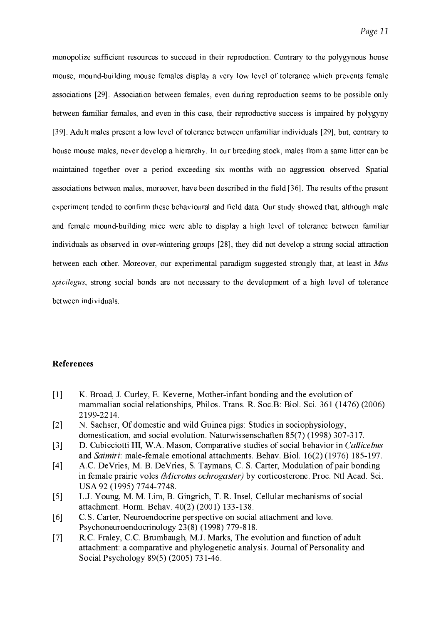monopolize sufficient resources to succeed in their reproduction. Contrary to the polygynous house mouse, mound-building mouse females display a very low level of tolerance which prevents female associations [29]. Association between females, even during reproduction seems to be possible only between familiar females, and even in this case, their reproductive success is impaired by polygyny [39]. Adult males present a low level of tolerance between unfamiliar individuals [29], but, contrary to house mouse males, never develop a hierarchy. In our breeding stock, males from a same litter can be maintained together over a period exceeding six months with no aggression observed. Spatial associations between males, moreover, have been described in the field [36]. The results of the present experiment tended to confirm these behavioural and field data. Our study showed that, although male and female mound-building mice were able to display a high level of tolerance between familiar individuals as observed in over-wintering groups [28], they did not develop a strong social attraction between each other. Moreover, our experimental paradigm suggested strongly that, at least in Mus spicilegus, strong social bonds are not necessary to the development of a high level of tolerance between individuals

#### **References**

- K. Broad, J. Curley, E. Keverne, Mother-infant bonding and the evolution of  $[1]$ mammalian social relationships, Philos. Trans. R. Soc.B: Biol. Sci. 361 (1476) (2006) 2199-2214.
- $\lceil 2 \rceil$ N. Sachser, Of domestic and wild Guinea pigs: Studies in sociophysiology, domestication, and social evolution. Naturwissenschaften 85(7) (1998) 307-317.
- D. Cubicciotti III, W.A. Mason, Comparative studies of social behavior in Callicebus  $[3]$ and Saimiri: male-female emotional attachments. Behav. Biol. 16(2) (1976) 185-197.
- A.C. DeVries, M. B. DeVries, S. Taymans, C. S. Carter, Modulation of pair bonding  $[4]$ in female prairie voles *(Microtus ochrogaster)* by corticosterone, Proc. Ntl Acad, Sci. USA 92 (1995) 7744-7748.
- L.J. Young, M. M. Lim, B. Gingrich, T. R. Insel, Cellular mechanisms of social  $\lceil 5 \rceil$ attachment. Horm. Behav. 40(2) (2001) 133-138.
- $[6]$ C.S. Carter, Neuroendocrine perspective on social attachment and love. Psychoneuroendocrinology 23(8) (1998) 779-818.
- R.C. Fraley, C.C. Brumbaugh, M.J. Marks, The evolution and function of adult  $[7]$ attachment: a comparative and phylogenetic analysis. Journal of Personality and Social Psychology 89(5) (2005) 731-46.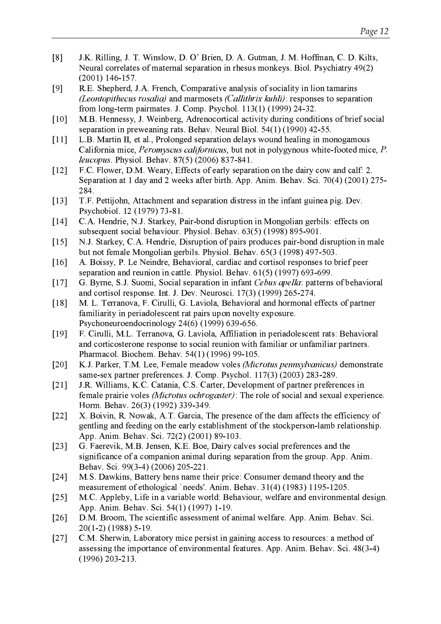- J.K. Rilling, J. T. Winslow, D. O' Brien, D. A. Gutman, J. M. Hoffman, C. D. Kilts,  $\lceil 8 \rceil$ Neural correlates of maternal separation in rhesus monkeys. Biol. Psychiatry 49(2)  $(2001)$  146-157
- $[9]$ R.E. Shepherd, J.A. French, Comparative analysis of sociality in lion tamarins (Leontopithecus rosalia) and marmosets (Callithrix kuhli): responses to separation from long-term pairmates. J. Comp. Psychol.  $113(1)$  (1999) 24-32.
- $[10]$ M.B. Hennessy, J. Weinberg, Adrenocortical activity during conditions of brief social separation in preweaning rats. Behav. Neural Biol. 54(1) (1990) 42-55.
- $[11]$ L.B. Martin II, et al., Prolonged separation delays wound healing in monogamous California mice, Peromyscus californicus, but not in polygynous white-footed mice, P. *leucopus*. Physiol. Behav. 87(5) (2006) 837-841.
- $[12]$ F.C. Flower, D.M. Weary, Effects of early separation on the dairy cow and calf: 2. Separation at 1 day and 2 weeks after birth. App. Anim. Behav. Sci. 70(4) (2001) 275-284.
- $[13]$ T.F. Pettijohn, Attachment and separation distress in the infant guinea pig. Dev. Psychobiol. 12 (1979) 73-81.
- C.A. Hendrie, N.J. Starkey, Pair-bond disruption in Mongolian gerbils: effects on  $[14]$ subsequent social behaviour. Physiol. Behav. 63(5) (1998) 895-901.
- N.J. Starkey, C.A. Hendrie, Disruption of pairs produces pair-bond disruption in male  $[15]$ but not female Mongolian gerbils. Physiol. Behav. 65(3 (1998) 497-503.
- A. Boissy, P. Le Neindre, Behavioral, cardiac and cortisol responses to brief peer  $\lceil 16 \rceil$ separation and reunion in cattle. Physiol. Behav. 61(5) (1997) 693-699.
- G. Byrne, S.J. Suomi, Social separation in infant Cebus apella: patterns of behavioral  $[17]$ and cortisol response. Int. J. Dev. Neurosci. 17(3) (1999) 265-274.
- $[18]$ M. L. Terranova, F. Cirulli, G. Laviola, Behavioral and hormonal effects of partner familiarity in periadolescent rat pairs upon novelty exposure. Psychoneuroendocrinology 24(6) (1999) 639-656.
- $[19]$ F. Cirulli, M.L. Terranova, G. Laviola, Affiliation in periadolescent rats: Behavioral and corticosterone response to social reunion with familiar or unfamiliar partners. Pharmacol. Biochem. Behav. 54(1) (1996) 99-105.
- $[20]$ K.J. Parker, T.M. Lee, Female meadow voles (Microtus pennsylvanicus) demonstrate same-sex partner preferences. J. Comp. Psychol. 117(3) (2003) 283-289.
- J.R. Williams, K.C. Catania, C.S. Carter, Development of partner preferences in  $[21]$ female prairie voles *(Microtus ochrogaster)*: The role of social and sexual experience. Horm Behav. 26(3) (1992) 339-349.
- $[22]$ X. Boivin, R. Nowak, A.T. Garcia, The presence of the dam affects the efficiency of gentling and feeding on the early establishment of the stockperson-lamb relationship. App. Anim. Behav. Sci. 72(2) (2001) 89-103.
- $[23]$ G. Faerevik, M.B. Jensen, K.E. Boe, Dairy calves social preferences and the significance of a companion animal during separation from the group. App. Anim. Behav. Sci. 99(3-4) (2006) 205-221.
- M.S. Dawkins, Battery hens name their price: Consumer demand theory and the  $[24]$ measurement of ethological `needs'. Anim. Behav. 31(4) (1983) 1195-1205.
- M.C. Appleby, Life in a variable world: Behaviour, welfare and environmental design.  $\lceil 25 \rceil$ App. Anim. Behav. Sci. 54(1) (1997) 1-19.
- $[26]$ D.M. Broom, The scientific assessment of animal welfare. App. Anim. Behav. Sci. 20(1-2) (1988) 5-19.
- C.M. Sherwin, Laboratory mice persist in gaining access to resources: a method of  $[27]$ assessing the importance of environmental features. App. Anim. Behav. Sci. 48(3-4)  $(1996)$  203-213.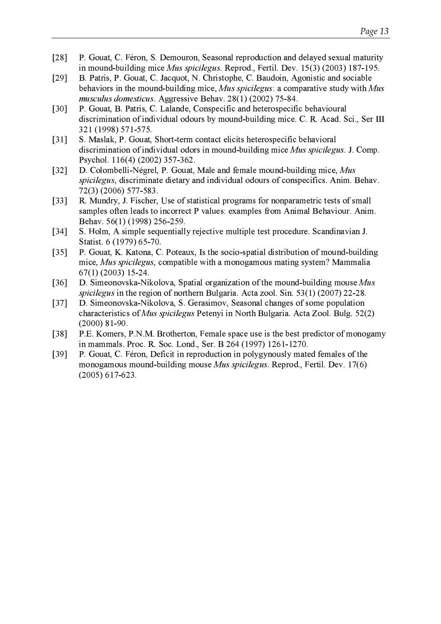- P. Gouat, C. Féron, S. Demouron, Seasonal reproduction and delayed sexual maturity  $\lceil 28 \rceil$ in mound-building mice Mus spicilegus. Reprod., Fertil. Dev. 15(3) (2003) 187-195.
- $[29]$ B. Patris, P. Gouat, C. Jacquot, N. Christophe, C. Baudoin, Agonistic and sociable behaviors in the mound-building mice, Mus spicilegus: a comparative study with Mus musculus domesticus. Aggressive Behav. 28(1) (2002) 75-84.
- $[30]$ P. Gouat, B. Patris, C. Lalande, Conspecific and heterospecific behavioural discrimination of individual odours by mound-building mice. C. R. Acad. Sci., Ser III 321 (1998) 571-575.
- $[31]$ S. Maslak, P. Gouat, Short-term contact elicits heterospecific behavioral discrimination of individual odors in mound-building mice Mus spicilegus. J. Comp. Psychol. 116(4) (2002) 357-362.
- $[32]$ D. Colombelli-Négrel, P. Gouat, Male and female mound-building mice, Mus spicilegus, discriminate dietary and individual odours of conspecifics. Anim. Behay.  $72(3)$  (2006) 577-583.
- R. Mundry, J. Fischer, Use of statistical programs for nonparametric tests of small  $[33]$ samples often leads to incorrect P values: examples from Animal Behaviour. Anim. Behav. 56(1) (1998) 256-259.
- S. Holm, A simple sequentially rejective multiple test procedure. Scandinavian J.  $[34]$ Statist. 6 (1979) 65-70.
- P. Gouat, K. Katona, C. Poteaux, Is the socio-spatial distribution of mound-building  $[35]$ mice, Mus spicilegus, compatible with a monogamous mating system? Mammalia  $67(1)$  (2003) 15-24.
- $[36]$ D. Simeonovska-Nikolova, Spatial organization of the mound-building mouse Mus spicilegus in the region of northern Bulgaria. Acta zool. Sin. 53(1) (2007) 22-28.
- D. Simeonovska-Nikolova, S. Gerasimov, Seasonal changes of some population  $[37]$ characteristics of Mus spicilegus Petenyi in North Bulgaria. Acta Zool. Bulg. 52(2)  $(2000)$  81-90.
- $[38]$ P.E. Komers, P.N.M. Brotherton, Female space use is the best predictor of monogamy in mammals. Proc. R. Soc. Lond., Ser. B 264 (1997) 1261-1270.
- P. Gouat, C. Féron, Deficit in reproduction in polygynously mated females of the  $[39]$ monogamous mound-building mouse Mus spicilegus. Reprod., Fertil. Dev. 17(6)  $(2005)$  617-623.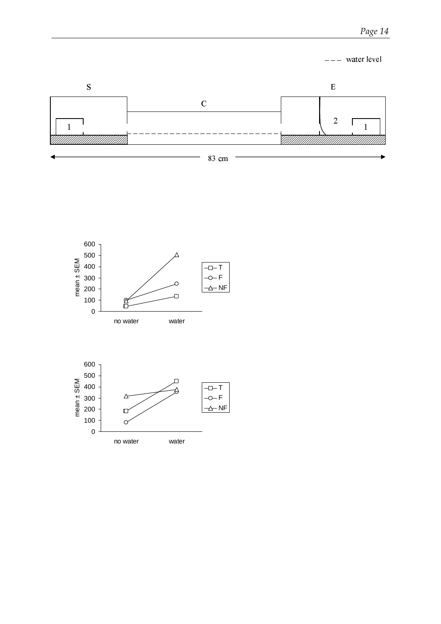--- water level